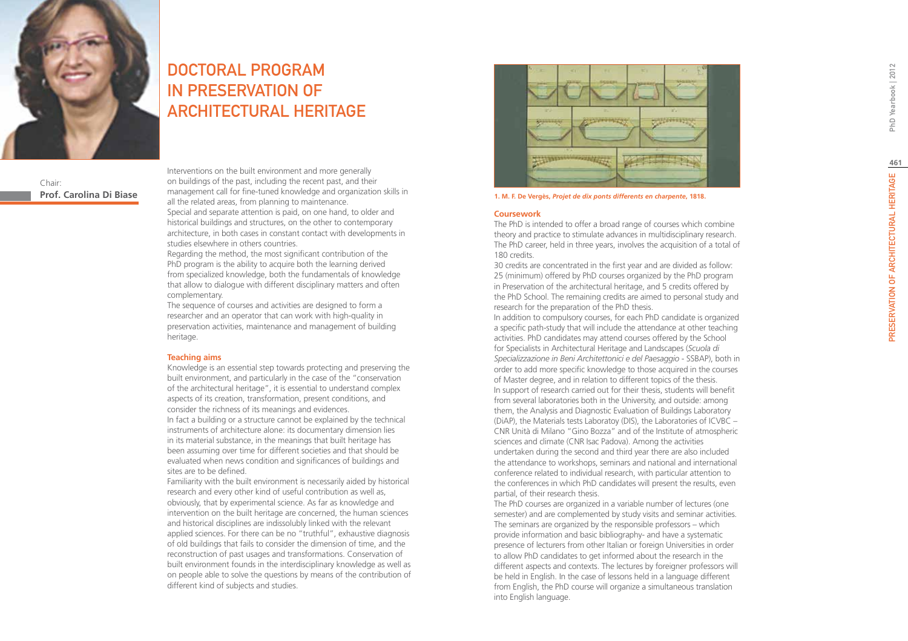

**460**

Chair: **Prof. Carolina Di Biase** DOCTORAL PROGRAM IN PRESERVATION OF ARCHITECTURAL HERITAGE

Interventions on the built environment and more generally on buildings of the past, including the recent past, and their management call for fine-tuned knowledge and organization skills in all the related areas, from planning to maintenance.

Special and separate attention is paid, on one hand, to older and historical buildings and structures, on the other to contemporary architecture, in both cases in constant contact with developments in studies elsewhere in others countries.

Regarding the method, the most significant contribution of the PhD program is the ability to acquire both the learning derived from specialized knowledge, both the fundamentals of knowledge that allow to dialogue with different disciplinary matters and often complementary.

The sequence of courses and activities are designed to form a researcher and an operator that can work with high-quality in preservation activities, maintenance and management of building heritage.

#### **Teaching aims**

Knowledge is an essential step towards protecting and preserving the built environment, and particularly in the case of the "conservation of the architectural heritage", it is essential to understand complex aspects of its creation, transformation, present conditions, and consider the richness of its meanings and evidences. In fact a building or a structure cannot be explained by the technical instruments of architecture alone: its documentary dimension lies in its material substance, in the meanings that built heritage has been assuming over time for different societies and that should be evaluated when news condition and significances of buildings and sites are to be defined.

Familiarity with the built environment is necessarily aided by historical research and every other kind of useful contribution as well as, obviously, that by experimental science. As far as knowledge and intervention on the built heritage are concerned, the human sciences and historical disciplines are indissolubly linked with the relevant applied sciences. For there can be no "truthful", exhaustive diagnosis of old buildings that fails to consider the dimension of time, and the reconstruction of past usages and transformations. Conservation of built environment founds in the interdisciplinary knowledge as well as on people able to solve the questions by means of the contribution of different kind of subjects and studies.



**1. M. F. De Vergès,** *Projet de dix ponts differents en charpente***, 1818.**

#### **Coursework**

The PhD is intended to offer a broad range of courses which combine theory and practice to stimulate advances in multidisciplinary research. The PhD career, held in three years, involves the acquisition of a total of 180 credits.

30 credits are concentrated in the first year and are divided as follow: 25 (minimum) offered by PhD courses organized by the PhD program in Preservation of the architectural heritage, and 5 credits offered by the PhD School. The remaining credits are aimed to personal study and research for the preparation of the PhD thesis.

In addition to compulsory courses, for each PhD candidate is organized a specific path-study that will include the attendance at other teaching activities. PhD candidates may attend courses offered by the School for Specialists in Architectural Heritage and Landscapes (*Scuola di Specializzazione in Beni Architettonici e del Paesaggio* - SSBAP), both in order to add more specific knowledge to those acquired in the courses of Master degree, and in relation to different topics of the thesis. In support of research carried out for their thesis, students will benefit from several laboratories both in the University, and outside: among them, the Analysis and Diagnostic Evaluation of Buildings Laboratory (DiAP), the Materials tests Laboratoy (DIS), the Laboratories of ICVBC – CNR Unità di Milano "Gino Bozza" and of the Institute of atmospheric sciences and climate (CNR Isac Padova). Among the activities undertaken during the second and third year there are also included the attendance to workshops, seminars and national and international conference related to individual research, with particular attention to the conferences in which PhD candidates will present the results, even partial, of their research thesis.

The PhD courses are organized in a variable number of lectures (one semester) and are complemented by study visits and seminar activities. The seminars are organized by the responsible professors – which provide information and basic bibliography- and have a systematic presence of lecturers from other Italian or foreign Universities in order to allow PhD candidates to get informed about the research in the different aspects and contexts. The lectures by foreigner professors will be held in English. In the case of lessons held in a language different from English, the PhD course will organize a simultaneous translation into English language.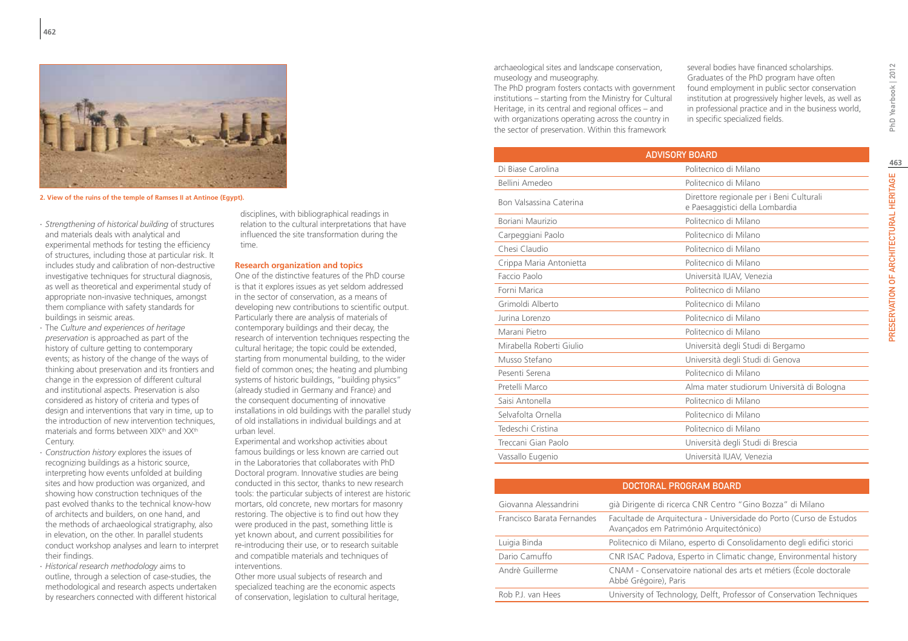

**2. View of the ruins of the temple of Ramses II at Antinoe (Egypt).**

∙ *Strengthening of historical building* of structures and materials deals with analytical and experimental methods for testing the efficiency of structures, including those at particular risk. It includes study and calibration of non-destructive investigative techniques for structural diagnosis, as well as theoretical and experimental study of appropriate non-invasive techniques, amongst them compliance with safety standards for buildings in seismic areas.

- ∙ The *Culture and experiences of heritage preservation* is approached as part of the history of culture getting to contemporary events; as history of the change of the ways of thinking about preservation and its frontiers and change in the expression of different cultural and institutional aspects. Preservation is also considered as history of criteria and types of design and interventions that vary in time, up to the introduction of new intervention techniques, materials and forms between XIX<sup>th</sup> and XX<sup>th</sup> Century.
- ∙ *Construction history* explores the issues of recognizing buildings as a historic source, interpreting how events unfolded at building sites and how production was organized, and showing how construction techniques of the past evolved thanks to the technical know-how of architects and builders, on one hand, and the methods of archaeological stratigraphy, also in elevation, on the other. In parallel students conduct workshop analyses and learn to interpret their findings.
- ∙ *Historical research methodology* aims to outline, through a selection of case-studies, the methodological and research aspects undertaken by researchers connected with different historical

disciplines, with bibliographical readings in relation to the cultural interpretations that have influenced the site transformation during the time.

#### **Research organization and topics**

One of the distinctive features of the PhD course is that it explores issues as yet seldom addressed in the sector of conservation, as a means of developing new contributions to scientific output. Particularly there are analysis of materials of contemporary buildings and their decay, the research of intervention techniques respecting the cultural heritage; the topic could be extended, starting from monumental building, to the wider field of common ones; the heating and plumbing systems of historic buildings, "building physics" (already studied in Germany and France) and the consequent documenting of innovative installations in old buildings with the parallel study of old installations in individual buildings and at urban level.

Experimental and workshop activities about famous buildings or less known are carried out in the Laboratories that collaborates with PhD Doctoral program. Innovative studies are being conducted in this sector, thanks to new research tools: the particular subjects of interest are historic mortars, old concrete, new mortars for masonry restoring. The objective is to find out how they were produced in the past, something little is yet known about, and current possibilities for re-introducing their use, or to research suitable and compatible materials and techniques of interventions.

Other more usual subjects of research and specialized teaching are the economic aspects of conservation, legislation to cultural heritage, archaeological sites and landscape conservation, museology and museography.

The PhD program fosters contacts with government institutions – starting from the Ministry for Cultural Heritage, in its central and regional offices – and with organizations operating across the country in the sector of preservation. Within this framework

several bodies have financed scholarships. Graduates of the PhD program have often found employment in public sector conservation institution at progressively higher levels, as well as in professional practice and in the business world, in specific specialized fields.

| <b>ADVISORY BOARD</b>    |                                                                             |  |
|--------------------------|-----------------------------------------------------------------------------|--|
| Di Biase Carolina        | Politecnico di Milano                                                       |  |
| Bellini Amedeo           | Politecnico di Milano                                                       |  |
| Bon Valsassina Caterina  | Direttore regionale per i Beni Culturali<br>e Paesaggistici della Lombardia |  |
| Boriani Maurizio         | Politecnico di Milano                                                       |  |
| Carpeggiani Paolo        | Politecnico di Milano                                                       |  |
| Chesi Claudio            | Politecnico di Milano                                                       |  |
| Crippa Maria Antonietta  | Politecnico di Milano                                                       |  |
| Faccio Paolo             | Università IUAV, Venezia                                                    |  |
| Forni Marica             | Politecnico di Milano                                                       |  |
| Grimoldi Alberto         | Politecnico di Milano                                                       |  |
| Jurina Lorenzo           | Politecnico di Milano                                                       |  |
| Marani Pietro            | Politecnico di Milano                                                       |  |
| Mirabella Roberti Giulio | Università degli Studi di Bergamo                                           |  |
| Musso Stefano            | Università degli Studi di Genova                                            |  |
| Pesenti Serena           | Politecnico di Milano                                                       |  |
| Pretelli Marco           | Alma mater studiorum Università di Bologna                                  |  |
| Saisi Antonella          | Politecnico di Milano                                                       |  |
| Selvafolta Ornella       | Politecnico di Milano                                                       |  |
| Tedeschi Cristina        | Politecnico di Milano                                                       |  |
| Treccani Gian Paolo      | Università degli Studi di Brescia                                           |  |
| Vassallo Eugenio         | Università IUAV, Venezia                                                    |  |

|  | DOCTORAL PROGRAM BOARD |  |
|--|------------------------|--|
|  |                        |  |

| Giovanna Alessandrini      | già Dirigente di ricerca CNR Centro "Gino Bozza" di Milano                                                     |
|----------------------------|----------------------------------------------------------------------------------------------------------------|
| Francisco Barata Fernandes | Facultade de Arquitectura - Universidade do Porto (Curso de Estudos<br>Avançados em Património Arquitectónico) |
| Luigia Binda               | Politecnico di Milano, esperto di Consolidamento degli edifici storici                                         |
| Dario Camuffo              | CNR ISAC Padova, Esperto in Climatic change, Environmental history                                             |
| Andrè Guillerme            | CNAM - Conservatoire national des arts et métiers (École doctorale<br>Abbé Grégoire), Paris                    |
| Rob P.J. van Hees          | University of Technology, Delft, Professor of Conservation Techniques                                          |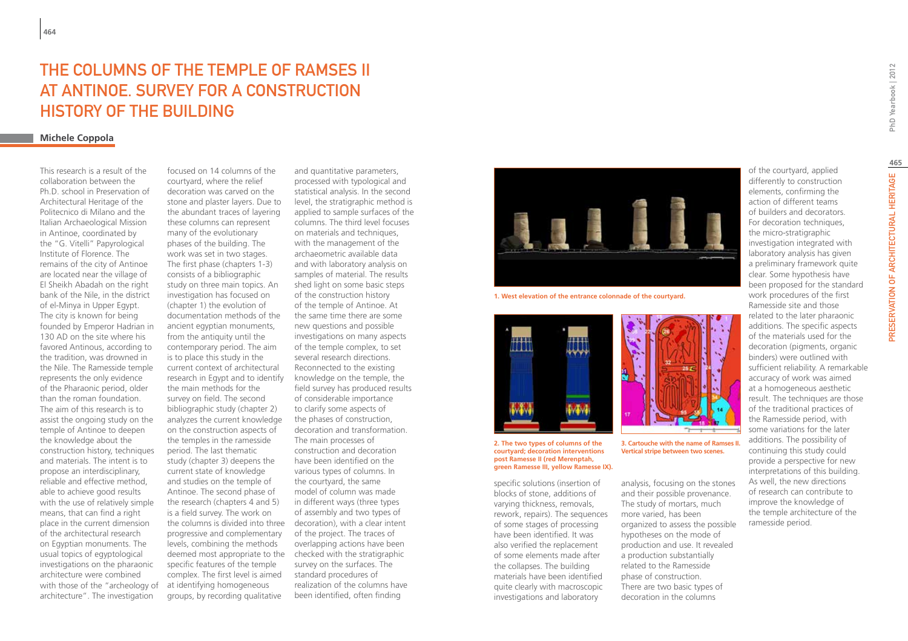## THE COLUMNS OF THE TEMPLE OF RAMSES II at Antinoe. Survey for a construction history of the building

### **Michele Coppola**

This research is a result of the collaboration between the Ph.D. school in Preservation of Architectural Heritage of the Politecnico di Milano and the Italian Archaeological Mission in Antinoe, coordinated by the "G. Vitelli" Papyrological Institute of Florence. The remains of the city of Antinoe are located near the village of El Sheikh Abadah on the right bank of the Nile, in the district of el-Minya in Upper Egypt. The city is known for being founded by Emperor Hadrian in 130 AD on the site where his favored Antinous, according to the tradition, was drowned in the Nile. The Ramesside temple represents the only evidence of the Pharaonic period, older than the roman foundation. The aim of this research is to assist the ongoing study on the temple of Antinoe to deepen the knowledge about the construction history, techniques and materials. The intent is to propose an interdisciplinary, reliable and effective method, able to achieve good results with the use of relatively simple means, that can find a right place in the current dimension of the architectural research on Egyptian monuments. The usual topics of egyptological investigations on the pharaonic architecture were combined with those of the "archeology of architecture". The investigation

focused on 14 columns of the courtyard, where the relief decoration was carved on the stone and plaster layers. Due to the abundant traces of layering these columns can represent many of the evolutionary phases of the building. The work was set in two stages. The first phase (chapters 1-3) consists of a bibliographic study on three main topics. An investigation has focused on (chapter 1) the evolution of documentation methods of the ancient egyptian monuments, from the antiquity until the contemporary period. The aim is to place this study in the current context of architectural research in Egypt and to identify the main methods for the survey on field. The second bibliographic study (chapter 2) analyzes the current knowledge on the construction aspects of the temples in the ramesside period. The last thematic study (chapter 3) deepens the current state of knowledge and studies on the temple of Antinoe. The second phase of the research (chapters 4 and 5) is a field survey. The work on the columns is divided into three progressive and complementary levels, combining the methods deemed most appropriate to the specific features of the temple complex. The first level is aimed at identifying homogeneous groups, by recording qualitative

and quantitative parameters, processed with typological and statistical analysis. In the second level, the stratigraphic method is applied to sample surfaces of the columns. The third level focuses on materials and techniques, with the management of the archaeometric available data and with laboratory analysis on samples of material. The results shed light on some basic steps of the construction history of the temple of Antinoe. At the same time there are some new questions and possible investigations on many aspects of the temple complex, to set several research directions. Reconnected to the existing knowledge on the temple, the field survey has produced results of considerable importance to clarify some aspects of the phases of construction, decoration and transformation. The main processes of construction and decoration have been identified on the various types of columns. In the courtyard, the same model of column was made in different ways (three types of assembly and two types of decoration), with a clear intent of the project. The traces of overlapping actions have been checked with the stratigraphic survey on the surfaces. The standard procedures of realization of the columns have been identified, often finding



**1. West elevation of the entrance colonnade of the courtyard.**



specific solutions (insertion of blocks of stone, additions of varying thickness, removals, rework, repairs). The sequences of some stages of processing have been identified. It was also verified the replacement of some elements made after the collapses. The building materials have been identified quite clearly with macroscopic investigations and laboratory

**post Ramesse II (red Merenptah, green Ramesse III, yellow Ramesse IX).**

**courtyard; decoration interventions 3. Cartouche with the name of Ramses II. Vertical stripe between two scenes.**

analysis, focusing on the stones and their possible provenance. The study of mortars, much more varied, has been organized to assess the possible hypotheses on the mode of production and use. It revealed a production substantially related to the Ramesside phase of construction. There are two basic types of decoration in the columns

of the courtyard, applied differently to construction elements, confirming the action of different teams of builders and decorators. For decoration techniques, the micro-stratigraphic investigation integrated with laboratory analysis has given a preliminary framework quite clear. Some hypothesis have been proposed for the standard work procedures of the first Ramesside site and those related to the later pharaonic additions. The specific aspects of the materials used for the decoration (pigments, organic binders) were outlined with sufficient reliability. A remarkable accuracy of work was aimed at a homogeneous aesthetic result. The techniques are those of the traditional practices of the Ramesside period, with some variations for the later additions. The possibility of continuing this study could provide a perspective for new interpretations of this building. As well, the new directions

of research can contribute to improve the knowledge of the temple architecture of the

ramesside period.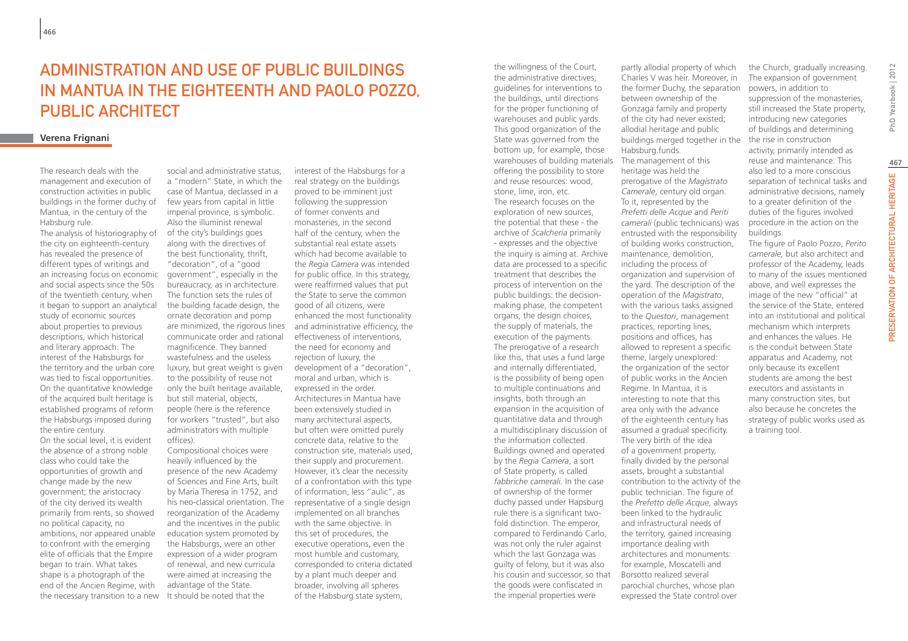## ADMINISTRATION AND USE OF PUBLIC BUILDINGS in Mantua in the eighteenth and Paolo Pozzo, public architect

#### **Verena Frignani**

The research deals with the management and execution of construction activities in public buildings in the former duchy of Mantua, in the century of the Habsburg rule.

The analysis of historiography of the city on eighteenth-century has revealed the presence of different types of writings and an increasing focus on economic and social aspects since the 50s of the twentieth century, when it began to support an analytical study of economic sources about properties to previous descriptions, which historical and literary approach. The interest of the Habsburgs for the territory and the urban core was tied to fiscal opportunities. On the quantitative knowledge of the acquired built heritage is established programs of reform the Habsburgs imposed during the entire century.

On the social level, it is evident the absence of a strong noble class who could take the opportunities of growth and change made by the new government; the aristocracy of the city derived its wealth primarily from rents, so showed no political capacity, no ambitions, nor appeared unable to confront with the emerging elite of officials that the Empire began to train. What takes shape is a photograph of the end of the Ancien Regime, with the necessary transition to a new

social and administrative status, a "modern" State, in which the case of Mantua, declassed in a few years from capital in little imperial province, is symbolic. Also the illuminist renewal of the city's buildings goes along with the directives of the best functionality, thrift, "decoration", of a "good government", especially in the bureaucracy, as in architecture. The function sets the rules of the building facade design, the ornate decoration and pomp are minimized, the rigorous lines communicate order and rational magnificence. They banned wastefulness and the useless luxury, but great weight is given to the possibility of reuse not only the built heritage available, but still material, objects, people (here is the reference for workers "trusted", but also administrators with multiple offices).

Compositional choices were heavily influenced by the presence of the new Academy of Sciences and Fine Arts, built by Maria Theresa in 1752, and his neo-classical orientation. The reorganization of the Academy and the incentives in the public education system promoted by the Habsburgs, were an other expression of a wider program of renewal, and new curricula were aimed at increasing the advantage of the State. It should be noted that the

interest of the Habsburgs for a real strategy on the buildings proved to be imminent just following the suppression of former convents and monasteries, in the second half of the century, when the substantial real estate assets which had become available to the *Regia Camera* was intended for public office. In this strategy, were reaffirmed values that put the State to serve the common good of all citizens, were enhanced the most functionality and administrative efficiency, the effectiveness of interventions, the need for economy and rejection of luxury, the development of a "decoration", moral and urban, which is expressed in the order. Architectures in Mantua have been extensively studied in many architectural aspects, but often were omitted purely concrete data, relative to the construction site, materials used, their supply and procurement. However, it's clear the necessity of a confrontation with this type of information, less "aulic", as representative of a single design implemented on all branches with the same objective. In this set of procedures, the executive operations, even the most humble and customary, corresponded to criteria dictated by a plant much deeper and broader, involving all spheres of the Habsburg state system,

the willingness of the Court, the administrative directives, guidelines for interventions to the buildings, until directions for the proper functioning of warehouses and public yards. This good organization of the State was governed from the bottom up, for example, those warehouses of building materials offering the possibility to store and reuse resources: wood, stone, lime, iron, etc. The research focuses on the exploration of new sources, the potential that these - the archive of *Scalcheria* primarily - expresses and the objective the inquiry is aiming at. Archive data are processed to a specific treatment that describes the process of intervention on the public buildings: the decisionmaking phase, the competent organs, the design choices, the supply of materials, the execution of the payments. The prerogative of a research like this, that uses a fund large and internally differentiated, is the possibility of being open to multiple continuations and insights, both through an expansion in the acquisition of quantitative data and through a multidisciplinary discussion of the information collected. Buildings owned and operated by the *Regia Camera*, a sort of State property, is called *fabbriche camerali.* In the case of ownership of the former duchy passed under Hapsburg rule there is a significant twofold distinction. The emperor, compared to Ferdinando Carlo, was not only the ruler against which the last Gonzaga was guilty of felony, but it was also his cousin and successor, so that the goods were confiscated in the imperial properties were

partly allodial property of which Charles V was heir. Moreover, in the former Duchy, the separation between ownership of the Gonzaga family and property of the city had never existed; allodial heritage and public buildings merged together in the Habsburg.funds. The management of this heritage was held the prerogative of the *Magistrato Camerale*, century old organ. To it, represented by the *Prefetti delle Acque* and *Periti camerali* (public technicians) was entrusted with the responsibility of building works construction, maintenance, demolition, including the process of organization and supervision of the yard. The description of the operation of the *Magistrato*, with the various tasks assigned to the *Questori*, management practices, reporting lines, positions and offices, has allowed to represent a specific theme, largely unexplored: the organization of the sector of public works in the Ancien Regime. In Mantua, it is interesting to note that this area only with the advance of the eighteenth century has assumed a gradual specificity. The very birth of the idea of a government property, finally divided by the personal assets, brought a substantial contribution to the activity of the public technician. The figure of the *Prefetto delle Acque*, always been linked to the hydraulic and infrastructural needs of the territory, gained increasing importance dealing with architectures and monuments: for example, Moscatelli and Borsotto realized several parochial churches, whose plan expressed the State control over

the Church, gradually increasing. The expansion of government powers, in addition to suppression of the monasteries, still increased the State property, introducing new categories of buildings and determining the rise in construction activity, primarily intended as reuse and maintenance. This also led to a more conscious separation of technical tasks and administrative decisions, namely to a greater definition of the duties of the figures involved procedure in the action on the buildings.

The figure of Paolo Pozzo, *Perito camerale,* but also architect and professor of the Academy, leads to many of the issues mentioned above, and well expresses the image of the new "official" at the service of the State, entered into an institutional and political mechanism which interprets and enhances the values. He is the conduit between State apparatus and Academy, not only because its excellent students are among the best executors and assistants in many construction sites, but also because he concretes the strategy of public works used as a training tool.

**467**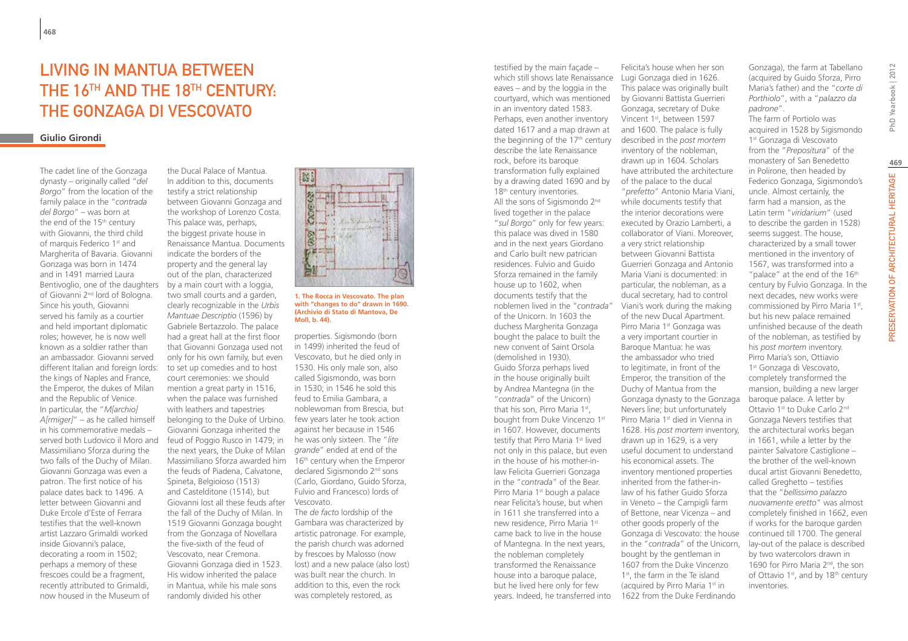# **LIVING IN MANTUA BETWEEN** THE 16<sup>TH</sup> AND THE 18TH CENTURY: the Gonzaga di Vescovato

### **Giulio Girondi**

Bentivoglio, one of the daughters by a main court with a loggia, The cadet line of the Gonzaga dynasty – originally called "*del Borgo*" from the location of the family palace in the "*contrada del Borgo*" – was born at the end of the 15<sup>th</sup> century with Giovanni, the third child of marquis Federico 1st and Margherita of Bavaria. Giovanni Gonzaga was born in 1474 and in 1491 married Laura of Giovanni 2nd lord of Bologna. Since his youth, Giovanni served his family as a courtier and held important diplomatic roles; however, he is now well known as a soldier rather than an ambassador. Giovanni served different Italian and foreign lords: the kings of Naples and France, the Emperor, the dukes of Milan and the Republic of Venice. In particular, the "*M[archio] A[rmiger]*" – as he called himself in his commemorative medals – served both Ludovico il Moro and Massimiliano Sforza during the two falls of the Duchy of Milan. Giovanni Gonzaga was even a patron. The first notice of his palace dates back to 1496. A letter between Giovanni and Duke Ercole d'Este of Ferrara testifies that the well-known artist Lazzaro Grimaldi worked inside Giovanni's palace, decorating a room in 1502; perhaps a memory of these frescoes could be a fragment, recently attributed to Grimaldi, now housed in the Museum of

the Ducal Palace of Mantua. In addition to this, documents testify a strict relationship between Giovanni Gonzaga and the workshop of Lorenzo Costa. This palace was, perhaps, the biggest private house in Renaissance Mantua. Documents indicate the borders of the property and the general lay out of the plan, characterized two small courts and a garden, clearly recognizable in the *Urbis Mantuae Descriptio* (1596) by Gabriele Bertazzolo. The palace had a great hall at the first floor that Giovanni Gonzaga used not only for his own family, but even to set up comedies and to host court ceremonies: we should mention a great party in 1516, when the palace was furnished with leathers and tapestries belonging to the Duke of Urbino. Giovanni Gonzaga inherited the feud of Poggio Rusco in 1479; in the next years, the Duke of Milan Massimiliano Sforza awarded him the feuds of Piadena, Calvatone, Spineta, Belgioioso (1513) and Castelditone (1514), but Giovanni lost all these feuds after Vescovato. the fall of the Duchy of Milan. In 1519 Giovanni Gonzaga bought from the Gonzaga of Novellara the five-sixth of the feud of Vescovato, near Cremona. Giovanni Gonzaga died in 1523. His widow inherited the palace in Mantua, while his male sons randomly divided his other



#### **1. The Rocca in Vescovato. The plan with "changes to do" drawn in 1690. (Archivio di Stato di Mantova, De Moll, b. 44).**

properties. Sigismondo (born in 1499) inherited the feud of Vescovato, but he died only in 1530. His only male son, also called Sigismondo, was born in 1530; in 1546 he sold this feud to Emilia Gambara, a noblewoman from Brescia, but few years later he took action against her because in 1546 he was only sixteen. The "*lite grande*" ended at end of the 16<sup>th</sup> century when the Emperor declared Sigismondo 2<sup>nd</sup> sons (Carlo, Giordano, Guido Sforza, Fulvio and Francesco) lords of

The *de facto* lordship of the Gambara was characterized by artistic patronage. For example, the parish church was adorned by frescoes by Malosso (now lost) and a new palace (also lost) was built near the church. In addition to this, even the rock was completely restored, as

testified by the main façade – which still shows late Renaissance eaves – and by the loggia in the courtyard, which was mentioned in an inventory dated 1583. Perhaps, even another inventory dated 1617 and a map drawn at the beginning of the 17<sup>th</sup> century describe the late Renaissance rock, before its baroque transformation fully explained by a drawing dated 1690 and by 18<sup>th</sup> century inventories. All the sons of Sigismondo 2<sup>nd</sup> lived together in the palace "*sul Borgo*" only for few years: this palace was dived in 1580 and in the next years Giordano and Carlo built new patrician residences. Fulvio and Guido Sforza remained in the family house up to 1602, when documents testify that the noblemen lived in the "*contrada*" of the Unicorn. In 1603 the duchess Margherita Gonzaga bought the palace to built the new convent of Saint Orsola (demolished in 1930). Guido Sforza perhaps lived in the house originally built by Andrea Mantegna (in the "*contrada*" of the Unicorn) that his son, Pirro Maria 1st, bought from Duke Vincenzo 1st in 1607. However, documents testify that Pirro Maria 1<sup>st</sup> lived not only in this palace, but even in the house of his mother-inlaw Felicita Guerrieri Gonzaga in the "*contrada*" of the Bear. Pirro Maria 1<sup>st</sup> bough a palace near Felicita's house, but when in 1611 she transferred into a new residence, Pirro Maria 1st came back to live in the house of Mantegna. In the next years, the nobleman completely transformed the Renaissance house into a baroque palace, but he lived here only for few years. Indeed, he transferred into

Lugi Gonzaga died in 1626. This palace was originally built by Giovanni Battista Guerrieri Gonzaga, secretary of Duke Vincent 1<sup>st</sup>, between 1597 and 1600. The palace is fully described in the *post mortem* inventory of the nobleman, drawn up in 1604. Scholars have attributed the architecture of the palace to the ducal "*prefetto*" Antonio Maria Viani, while documents testify that the interior decorations were executed by Orazio Lamberti, a collaborator of Viani. Moreover, a very strict relationship between Giovanni Battista Guerrieri Gonzaga and Antonio Maria Viani is documented: in particular, the nobleman, as a ducal secretary, had to control Viani's work during the making of the new Ducal Apartment. Pirro Maria 1<sup>st</sup> Gonzaga was a very important courtier in Baroque Mantua: he was the ambassador who tried to legitimate, in front of the Emperor, the transition of the Duchy of Mantua from the Gonzaga dynasty to the Gonzaga Nevers line; but unfortunately Pirro Maria 1<sup>st</sup> died in Vienna in 1628. His *post mortem* inventory, drawn up in 1629, is a very useful document to understand his economical assets. The inventory mentioned properties inherited from the father-inlaw of his father Guido Sforza in Veneto – the Campigli farm of Bettone, near Vicenza – and other goods properly of the Gonzaga di Vescovato: the house in the "*contrada*" of the Unicorn, bought by the gentleman in 1607 from the Duke Vincenzo 1<sup>st</sup>, the farm in the Te island (acquired by Pirro Maria 1st in 1622 from the Duke Ferdinando

Felicita's house when her son

Gonzaga), the farm at Tabellano (acquired by Guido Sforza, Pirro Maria's father) and the "*corte di Porthiolo*", with a "*palazzo da padrone*".

The farm of Portiolo was acquired in 1528 by Sigismondo 1<sup>st</sup> Gonzaga di Vescovato from the "*Prepositura*" of the monastery of San Benedetto in Polirone, then headed by Federico Gonzaga, Sigismondo's uncle. Almost certainly, the farm had a mansion, as the Latin term "*viridarium*" (used to describe the garden in 1528) seems suggest. The house, characterized by a small tower mentioned in the inventory of 1567, was transformed into a "palace" at the end of the 16<sup>th</sup> century by Fulvio Gonzaga. In the next decades, new works were commissioned by Pirro Maria 1st, but his new palace remained unfinished because of the death of the nobleman, as testified by his *post mortem* inventory. Pirro Maria's son, Ottiavio 1<sup>st</sup> Gonzaga di Vescovato, completely transformed the mansion, building a new larger baroque palace. A letter by Ottavio 1<sup>st</sup> to Duke Carlo 2<sup>nd</sup> Gonzaga Nevers testifies that the architectural works began in 1661, while a letter by the painter Salvatore Castiglione – the brother of the well-known ducal artist Giovanni Benedetto, called Greghetto – testifies that the "*bellissimo palazzo nuovamente eretto*" was almost completely finished in 1662, even if works for the baroque garden continued till 1700. The general lay-out of the palace is described by two watercolors drawn in 1690 for Pirro Maria 2<sup>nd</sup>, the son of Ottavio 1<sup>st</sup>, and by 18<sup>th</sup> century inventories.

PhD Yearbook | 2012